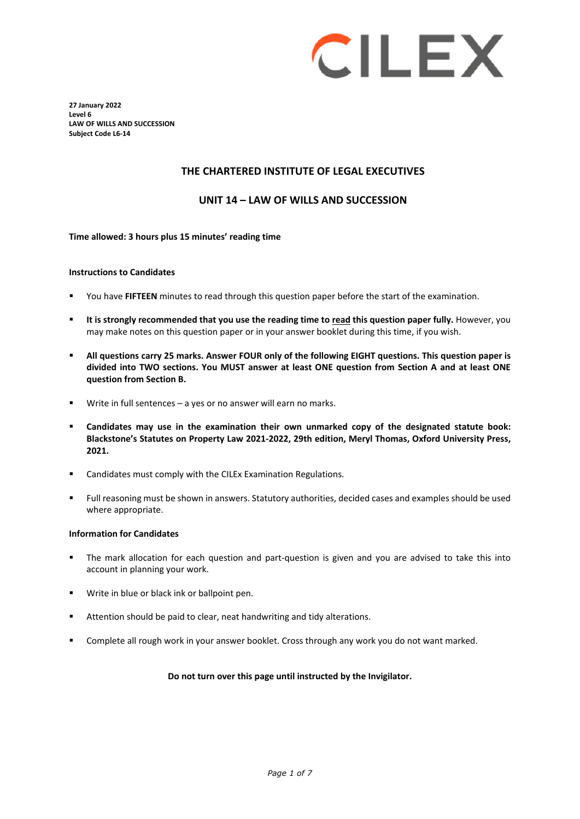# CILEX

**27 January 2022 Level 6 LAW OF WILLS AND SUCCESSION Subject Code L6-14**

## **THE CHARTERED INSTITUTE OF LEGAL EXECUTIVES**

#### **UNIT 14 – LAW OF WILLS AND SUCCESSION**

#### **Time allowed: 3 hours plus 15 minutes' reading time**

#### **Instructions to Candidates**

- You have **FIFTEEN** minutes to read through this question paper before the start of the examination.
- **It is strongly recommended that you use the reading time to read this question paper fully.** However, you may make notes on this question paper or in your answer booklet during this time, if you wish.
- **All questions carry 25 marks. Answer FOUR only of the following EIGHT questions. This question paper is divided into TWO sections. You MUST answer at least ONE question from Section A and at least ONE question from Section B.**
- Write in full sentences a yes or no answer will earn no marks.
- **Candidates may use in the examination their own unmarked copy of the designated statute book: Blackstone's Statutes on Property Law 2021-2022, 29th edition, Meryl Thomas, Oxford University Press, 2021.**
- Candidates must comply with the CILEx Examination Regulations.
- Full reasoning must be shown in answers. Statutory authorities, decided cases and examples should be used where appropriate.

#### **Information for Candidates**

- The mark allocation for each question and part-question is given and you are advised to take this into account in planning your work.
- **Write in blue or black ink or ballpoint pen.**
- Attention should be paid to clear, neat handwriting and tidy alterations.
- Complete all rough work in your answer booklet. Cross through any work you do not want marked.

#### **Do not turn over this page until instructed by the Invigilator.**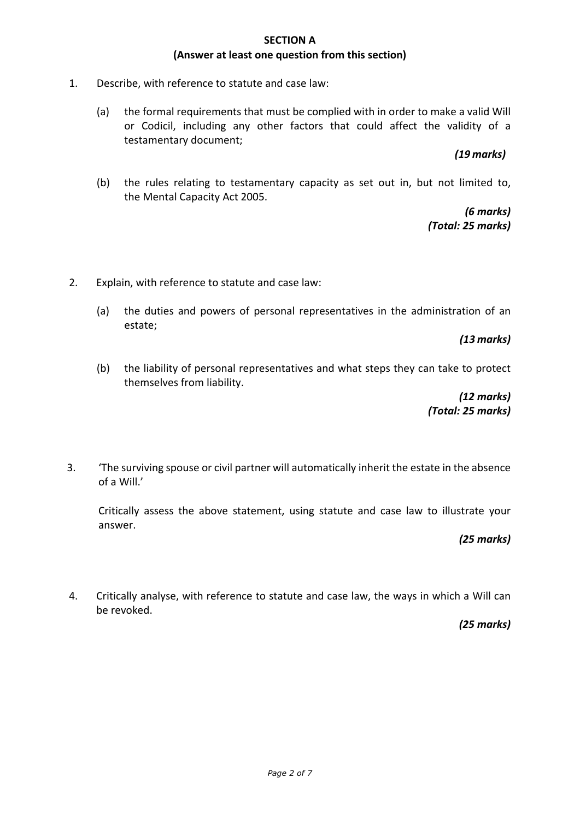#### **SECTION A (Answer at least one question from this section)**

- 1. Describe, with reference to statute and case law:
	- (a) the formal requirements that must be complied with in order to make a valid Will or Codicil, including any other factors that could affect the validity of a testamentary document;

## *(19 marks)*

(b) the rules relating to testamentary capacity as set out in, but not limited to, the Mental Capacity Act 2005.

> *(6 marks) (Total: 25 marks)*

- 2. Explain, with reference to statute and case law:
	- (a) the duties and powers of personal representatives in the administration of an estate;

*(13 marks)*

(b) the liability of personal representatives and what steps they can take to protect themselves from liability.

> *(12 marks) (Total: 25 marks)*

3. 'The surviving spouse or civil partner will automatically inherit the estate in the absence of a Will.'

Critically assess the above statement, using statute and case law to illustrate your answer.

*(25 marks)*

4. Critically analyse, with reference to statute and case law, the ways in which a Will can be revoked.

*(25 marks)*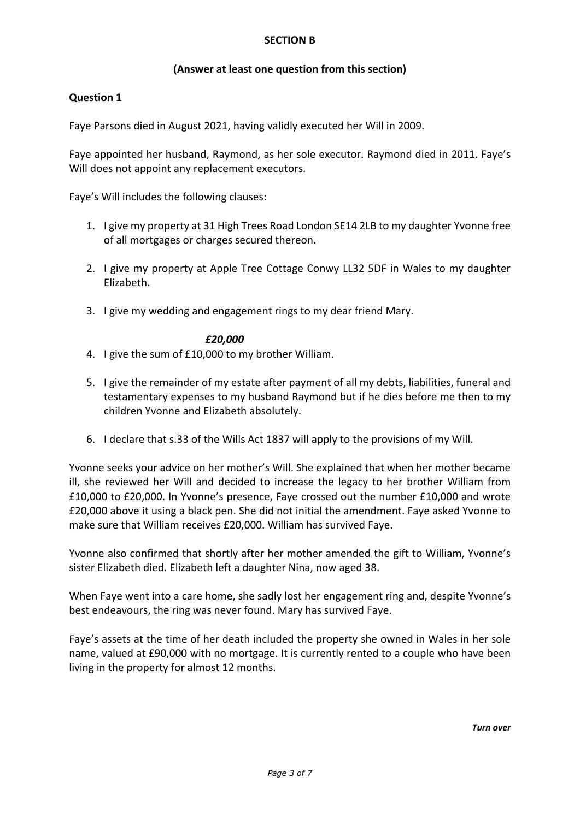## **SECTION B**

## **(Answer at least one question from this section)**

## **Question 1**

Faye Parsons died in August 2021, having validly executed her Will in 2009.

Faye appointed her husband, Raymond, as her sole executor. Raymond died in 2011. Faye's Will does not appoint any replacement executors.

Faye's Will includes the following clauses:

- 1. I give my property at 31 High Trees Road London SE14 2LB to my daughter Yvonne free of all mortgages or charges secured thereon.
- 2. I give my property at Apple Tree Cottage Conwy LL32 5DF in Wales to my daughter Elizabeth.
- 3. I give my wedding and engagement rings to my dear friend Mary.

#### *£20,000*

- 4. I give the sum of  $£10,000$  to my brother William.
- 5. I give the remainder of my estate after payment of all my debts, liabilities, funeral and testamentary expenses to my husband Raymond but if he dies before me then to my children Yvonne and Elizabeth absolutely.
- 6. I declare that s.33 of the Wills Act 1837 will apply to the provisions of my Will.

Yvonne seeks your advice on her mother's Will. She explained that when her mother became ill, she reviewed her Will and decided to increase the legacy to her brother William from £10,000 to £20,000. In Yvonne's presence, Faye crossed out the number £10,000 and wrote £20,000 above it using a black pen. She did not initial the amendment. Faye asked Yvonne to make sure that William receives £20,000. William has survived Faye.

Yvonne also confirmed that shortly after her mother amended the gift to William, Yvonne's sister Elizabeth died. Elizabeth left a daughter Nina, now aged 38.

When Faye went into a care home, she sadly lost her engagement ring and, despite Yvonne's best endeavours, the ring was never found. Mary has survived Faye.

Faye's assets at the time of her death included the property she owned in Wales in her sole name, valued at £90,000 with no mortgage. It is currently rented to a couple who have been living in the property for almost 12 months.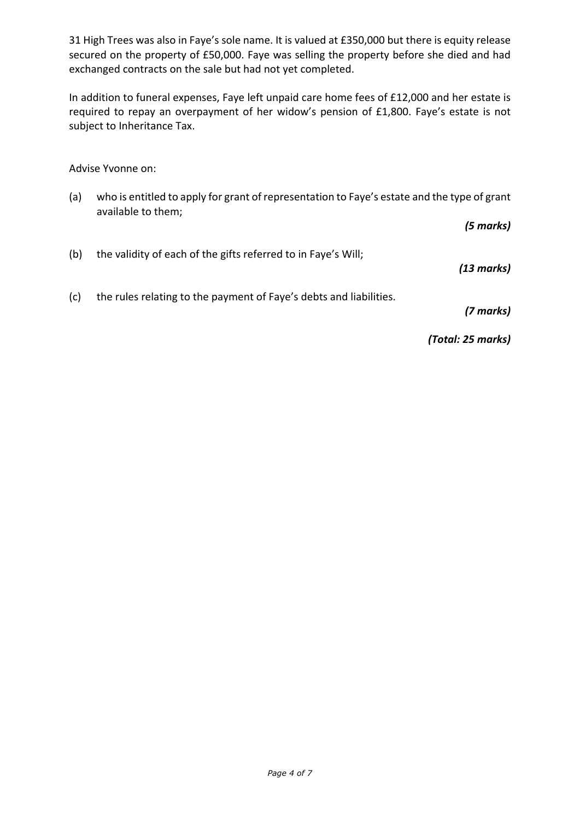31 High Trees was also in Faye's sole name. It is valued at £350,000 but there is equity release secured on the property of £50,000. Faye was selling the property before she died and had exchanged contracts on the sale but had not yet completed.

In addition to funeral expenses, Faye left unpaid care home fees of £12,000 and her estate is required to repay an overpayment of her widow's pension of £1,800. Faye's estate is not subject to Inheritance Tax.

Advise Yvonne on:

(a) who is entitled to apply for grant of representation to Faye's estate and the type of grant available to them;

*(5 marks)*

| (b) | the validity of each of the gifts referred to in Faye's Will;      | (13 marks) |
|-----|--------------------------------------------------------------------|------------|
| (c) | the rules relating to the payment of Faye's debts and liabilities. |            |

*(7 marks)*

*(Total: 25 marks)*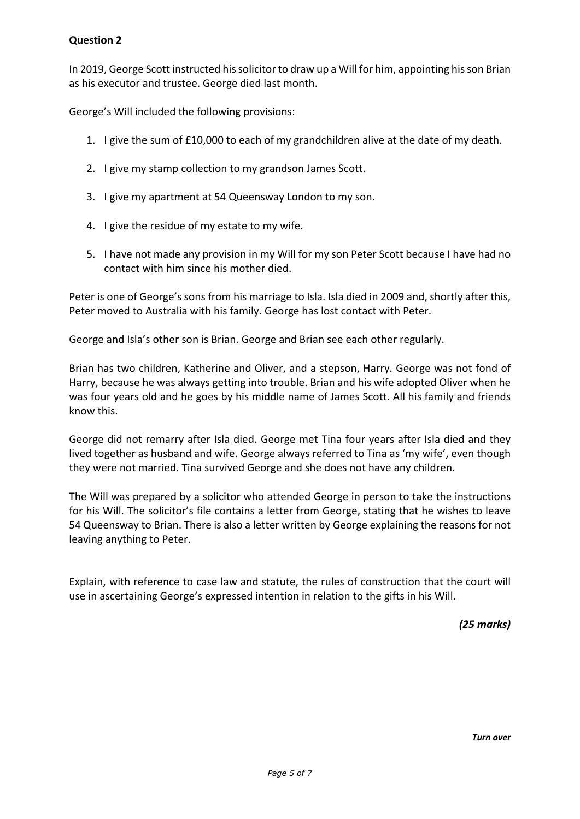# **Question 2**

In 2019, George Scott instructed his solicitor to draw up a Will for him, appointing hisson Brian as his executor and trustee. George died last month.

George's Will included the following provisions:

- 1. I give the sum of £10,000 to each of my grandchildren alive at the date of my death.
- 2. I give my stamp collection to my grandson James Scott.
- 3. I give my apartment at 54 Queensway London to my son.
- 4. I give the residue of my estate to my wife.
- 5. I have not made any provision in my Will for my son Peter Scott because I have had no contact with him since his mother died.

Peter is one of George's sons from his marriage to Isla. Isla died in 2009 and, shortly after this, Peter moved to Australia with his family. George has lost contact with Peter.

George and Isla's other son is Brian. George and Brian see each other regularly.

Brian has two children, Katherine and Oliver, and a stepson, Harry. George was not fond of Harry, because he was always getting into trouble. Brian and his wife adopted Oliver when he was four years old and he goes by his middle name of James Scott. All his family and friends know this.

George did not remarry after Isla died. George met Tina four years after Isla died and they lived together as husband and wife. George always referred to Tina as 'my wife', even though they were not married. Tina survived George and she does not have any children.

The Will was prepared by a solicitor who attended George in person to take the instructions for his Will. The solicitor's file contains a letter from George, stating that he wishes to leave 54 Queensway to Brian. There is also a letter written by George explaining the reasons for not leaving anything to Peter.

Explain, with reference to case law and statute, the rules of construction that the court will use in ascertaining George's expressed intention in relation to the gifts in his Will.

*(25 marks)*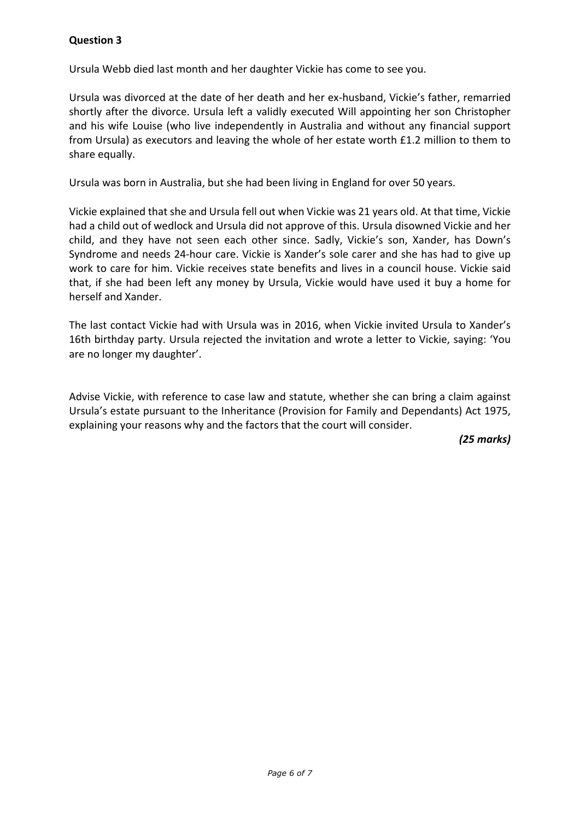# **Question 3**

Ursula Webb died last month and her daughter Vickie has come to see you.

Ursula was divorced at the date of her death and her ex-husband, Vickie's father, remarried shortly after the divorce. Ursula left a validly executed Will appointing her son Christopher and his wife Louise (who live independently in Australia and without any financial support from Ursula) as executors and leaving the whole of her estate worth £1.2 million to them to share equally.

Ursula was born in Australia, but she had been living in England for over 50 years.

Vickie explained that she and Ursula fell out when Vickie was 21 years old. At that time, Vickie had a child out of wedlock and Ursula did not approve of this. Ursula disowned Vickie and her child, and they have not seen each other since. Sadly, Vickie's son, Xander, has Down's Syndrome and needs 24-hour care. Vickie is Xander's sole carer and she has had to give up work to care for him. Vickie receives state benefits and lives in a council house. Vickie said that, if she had been left any money by Ursula, Vickie would have used it buy a home for herself and Xander.

The last contact Vickie had with Ursula was in 2016, when Vickie invited Ursula to Xander's 16th birthday party. Ursula rejected the invitation and wrote a letter to Vickie, saying: 'You are no longer my daughter'.

Advise Vickie, with reference to case law and statute, whether she can bring a claim against Ursula's estate pursuant to the Inheritance (Provision for Family and Dependants) Act 1975, explaining your reasons why and the factors that the court will consider.

*(25 marks)*